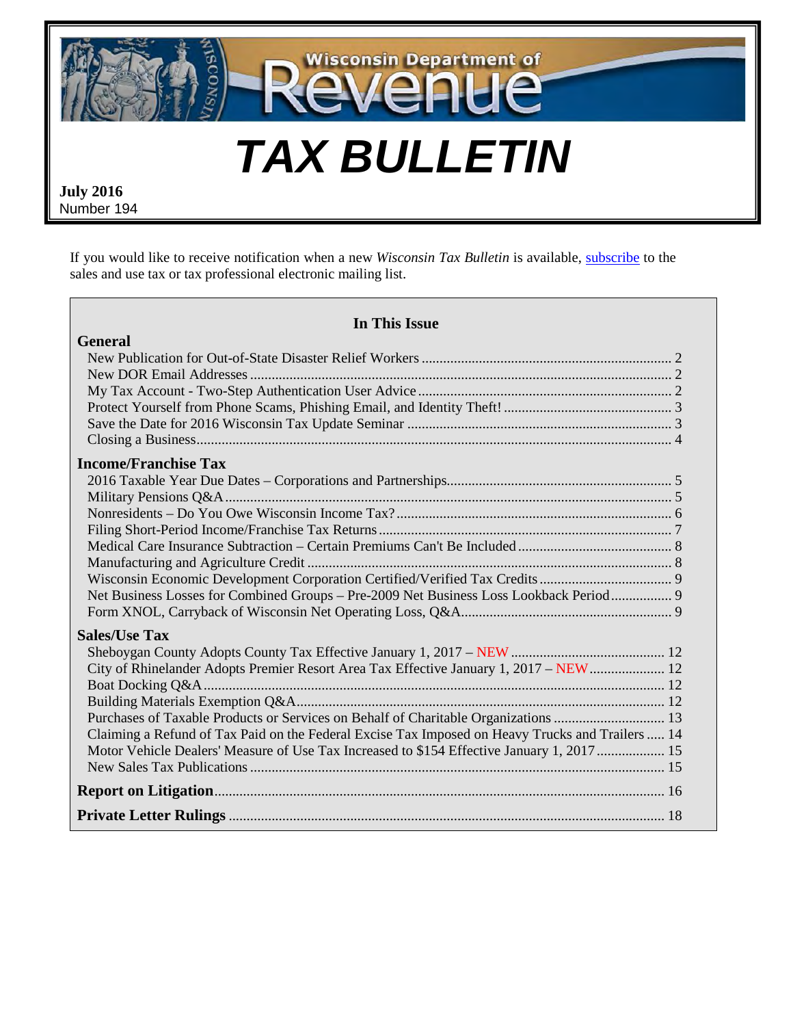

**July 2016**  Number 194

**General**

If you would like to receive notification when a new *Wisconsin Tax Bulletin* is available, [subscribe](https://www.revenue.wi.gov/html/lists.html) to the sales and use tax or tax professional electronic mailing list.

| In This Issue      |  |
|--------------------|--|
| ter Relief Workers |  |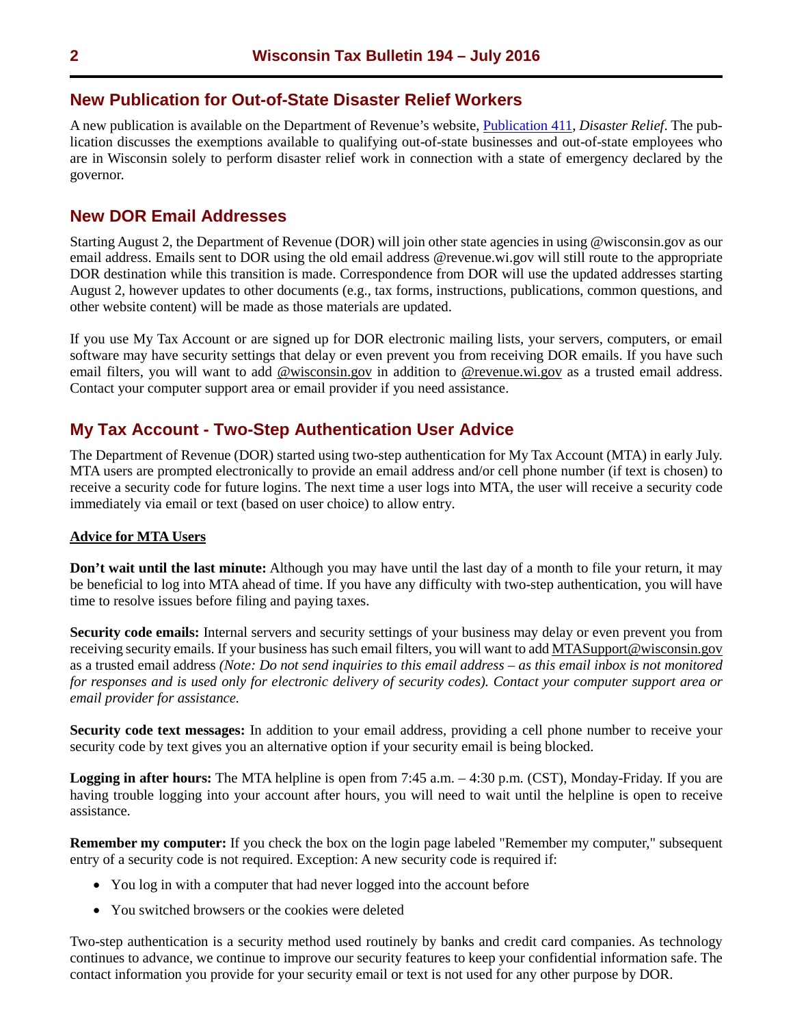## <span id="page-1-0"></span>**New Publication for Out-of-State Disaster Relief Workers**

A new publication is available on the Department of Revenue's website, [Publication](http://www.revenue.wi.gov/pubs/pb411.pdf) 411, *Disaster Relief*. The publication discusses the exemptions available to qualifying out-of-state businesses and out-of-state employees who are in Wisconsin solely to perform disaster relief work in connection with a state of emergency declared by the governor.

## **New DOR Email Addresses**

Starting August 2, the Department of Revenue (DOR) will join other state agencies in using @wisconsin.gov as our email address. Emails sent to DOR using the old email address @revenue.wi.gov will still route to the appropriate DOR destination while this transition is made. Correspondence from DOR will use the updated addresses starting August 2, however updates to other documents (e.g., tax forms, instructions, publications, common questions, and other website content) will be made as those materials are updated.

If you use My Tax Account or are signed up for DOR electronic mailing lists, your servers, computers, or email software may have security settings that delay or even prevent you from receiving DOR emails. If you have such email filters, you will want to add @wisconsin.gov in addition to @revenue.wi.gov as a trusted email address. Contact your computer support area or email provider if you need assistance.

## **My Tax Account - Two-Step Authentication User Advice**

The Department of Revenue (DOR) started using two-step authentication for My Tax Account (MTA) in early July. MTA users are prompted electronically to provide an email address and/or cell phone number (if text is chosen) to receive a security code for future logins. The next time a user logs into MTA, the user will receive a security code immediately via email or text (based on user choice) to allow entry.

#### **Advice for MTA Users**

**Don't wait until the last minute:** Although you may have until the last day of a month to file your return, it may be beneficial to log into MTA ahead of time. If you have any difficulty with two-step authentication, you will have time to resolve issues before filing and paying taxes.

**Security code emails:** Internal servers and security settings of your business may delay or even prevent you from receiving security emails. If your business has such email filters, you will want to add MTASupport@wisconsin.gov as a trusted email address *(Note: Do not send inquiries to this email address – as this email inbox is not monitored for responses and is used only for electronic delivery of security codes). Contact your computer support area or email provider for assistance.*

**Security code text messages:** In addition to your email address, providing a cell phone number to receive your security code by text gives you an alternative option if your security email is being blocked.

**Logging in after hours:** The MTA helpline is open from 7:45 a.m. – 4:30 p.m. (CST), Monday-Friday. If you are having trouble logging into your account after hours, you will need to wait until the helpline is open to receive assistance.

**Remember my computer:** If you check the box on the login page labeled "Remember my computer," subsequent entry of a security code is not required. Exception: A new security code is required if:

- You log in with a computer that had never logged into the account before
- You switched browsers or the cookies were deleted

Two-step authentication is a security method used routinely by banks and credit card companies. As technology continues to advance, we continue to improve our security features to keep your confidential information safe. The contact information you provide for your security email or text is not used for any other purpose by DOR.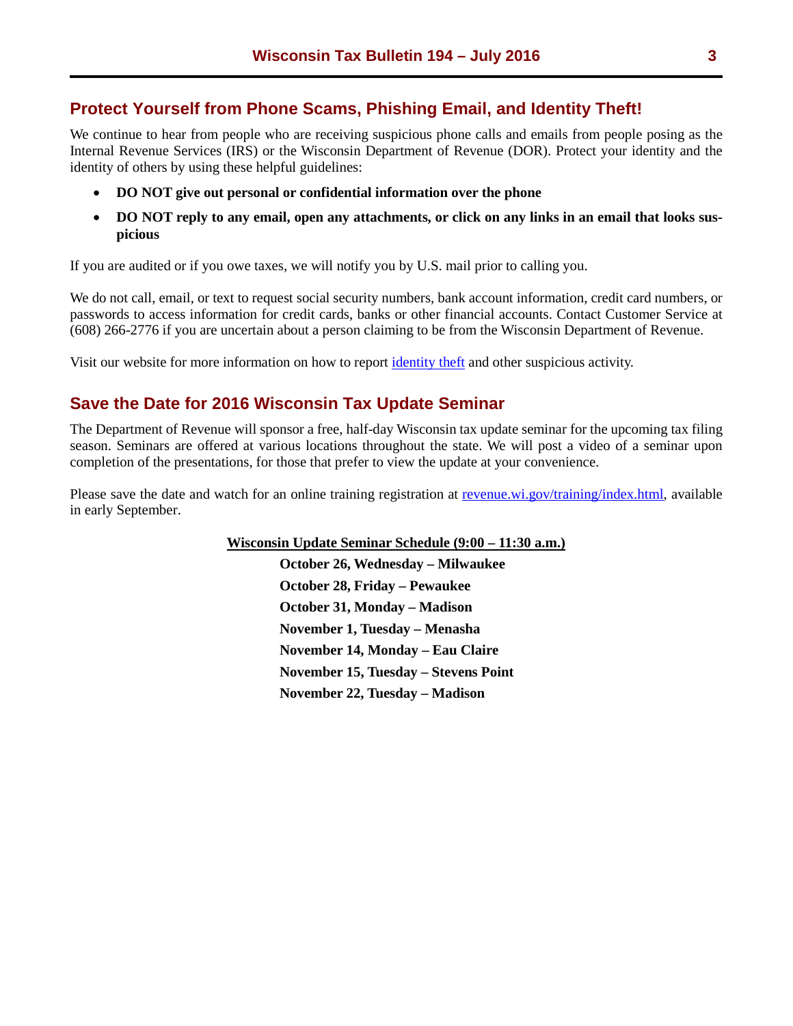## <span id="page-2-0"></span>**Protect Yourself from Phone Scams, Phishing Email, and Identity Theft!**

We continue to hear from people who are receiving suspicious phone calls and emails from people posing as the Internal Revenue Services (IRS) or the Wisconsin Department of Revenue (DOR). Protect your identity and the identity of others by using these helpful guidelines:

- **DO NOT give out personal or confidential information over the phone**
- **DO NOT reply to any email, open any attachments, or click on any links in an email that looks suspicious**

If you are audited or if you owe taxes, we will notify you by U.S. mail prior to calling you.

We do not call, email, or text to request social security numbers, bank account information, credit card numbers, or passwords to access information for credit cards, banks or other financial accounts. Contact Customer Service at (608) 266-2776 if you are uncertain about a person claiming to be from the Wisconsin Department of Revenue.

Visit our website for more information on how to report [identity theft](https://www.revenue.wi.gov/Pages/FAQS/ise-idtheft.aspx) and other suspicious activity.

## **Save the Date for 2016 Wisconsin Tax Update Seminar**

The Department of Revenue will sponsor a free, half-day Wisconsin tax update seminar for the upcoming tax filing season. Seminars are offered at various locations throughout the state. We will post a video of a seminar upon completion of the presentations, for those that prefer to view the update at your convenience.

Please save the date and watch for an online training registration at [revenue.wi.gov/training/index.html,](https://www.revenue.wi.gov/training/index.html) available in early September.

**Wisconsin Update Seminar Schedule (9:00 – 11:30 a.m.)**

**October 26, Wednesday – Milwaukee October 28, Friday – Pewaukee October 31, Monday – Madison November 1, Tuesday – Menasha November 14, Monday – Eau Claire November 15, Tuesday – Stevens Point November 22, Tuesday – Madison**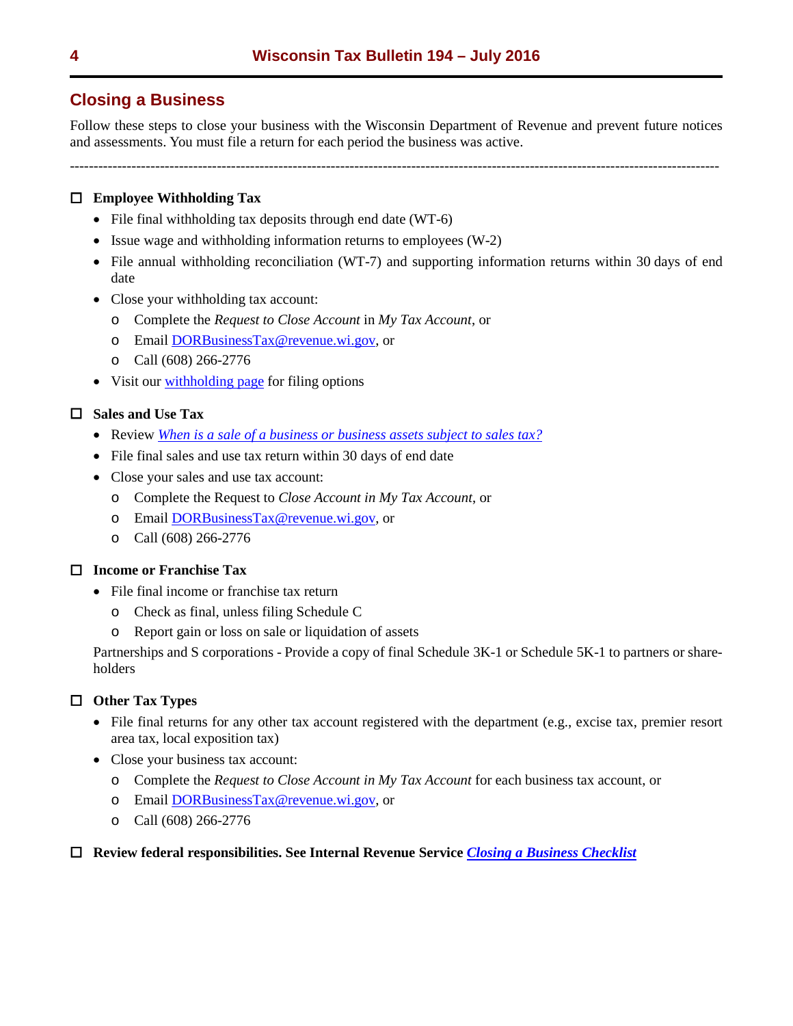# <span id="page-3-0"></span>**Closing a Business**

Follow these steps to close your business with the Wisconsin Department of Revenue and prevent future notices and assessments. You must file a return for each period the business was active.

-----------------------------------------------------------------------------------------------------------------------------------------

## **Employee Withholding Tax**

- File final withholding tax deposits through end date (WT-6)
- Issue wage and withholding information returns to employees (W-2)
- File annual withholding reconciliation (WT-7) and supporting information returns within 30 days of end date
- Close your withholding tax account:
	- o Complete the *Request to Close Account* in *My Tax Account*, or
	- o Email [DORBusinessTax@revenue.wi.gov,](https://ww2.revenue.wi.gov/Internet/dorhelp.html?subject=DORBusinessTax) or
	- o Call (608) 266-2776
- Visit our [withholding page](https://www.revenue.wi.gov/withholding/index.html) for filing options

## **Sales and Use Tax**

- Review *[When is a sale of a business or business assets subject to sales tax?](https://www.revenue.wi.gov/Pages/FAQS/pcs-sales.aspx)*
- File final sales and use tax return within 30 days of end date
- Close your sales and use tax account:
	- o Complete the Request to *Close Account in My Tax Account*, or
	- o Email [DORBusinessTax@revenue.wi.gov,](https://ww2.revenue.wi.gov/Internet/dorhelp.html?subject=DORBusinessTax) or
	- o Call (608) 266-2776

## **Income or Franchise Tax**

- File final income or franchise tax return
	- o Check as final, unless filing Schedule C
	- o Report gain or loss on sale or liquidation of assets

Partnerships and S corporations - Provide a copy of final Schedule 3K-1 or Schedule 5K-1 to partners or shareholders

## **Other Tax Types**

- File final returns for any other tax account registered with the department (e.g., excise tax, premier resort area tax, local exposition tax)
- Close your business tax account:
	- o Complete the *Request to Close Account in My Tax Account* for each business tax account, or
	- o Email [DORBusinessTax@revenue.wi.gov,](https://ww2.revenue.wi.gov/Internet/dorhelp.html?subject=DORBusinessTax) or
	- o Call (608) 266-2776

#### **Review federal responsibilities. See Internal Revenue Service** *[Closing a Business Checklist](https://www.irs.gov/businesses/small-businesses-self-employed/closing-a-business-checklist)*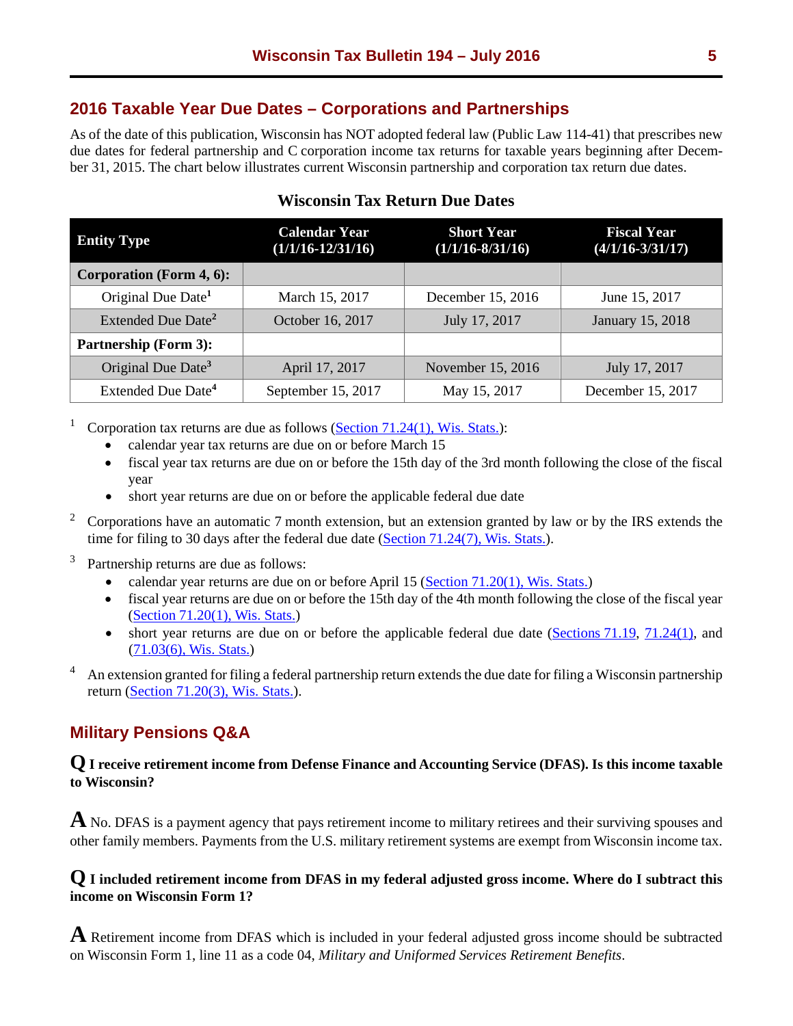# <span id="page-4-0"></span>**2016 Taxable Year Due Dates – Corporations and Partnerships**

As of the date of this publication, Wisconsin has NOT adopted federal law (Public Law 114-41) that prescribes new due dates for federal partnership and C corporation income tax returns for taxable years beginning after December 31, 2015. The chart below illustrates current Wisconsin partnership and corporation tax return due dates.

| <b>Entity Type</b>              | <b>Calendar Year</b><br>$(1/1/16 - 12/31/16)$ | <b>Short Year</b><br>$(1/1/16 - 8/31/16)$ | <b>Fiscal Year</b><br>$(4/1/16 - 3/31/17)$ |
|---------------------------------|-----------------------------------------------|-------------------------------------------|--------------------------------------------|
| <b>Corporation (Form 4, 6):</b> |                                               |                                           |                                            |
| Original Due Date <sup>1</sup>  | March 15, 2017                                | December 15, 2016                         | June 15, 2017                              |
| Extended Due Date <sup>2</sup>  | October 16, 2017                              | July 17, 2017                             | January 15, 2018                           |
| <b>Partnership (Form 3):</b>    |                                               |                                           |                                            |
| Original Due Date <sup>3</sup>  | April 17, 2017                                | November 15, 2016                         | July 17, 2017                              |
| Extended Due Date <sup>4</sup>  | September 15, 2017                            | May 15, 2017                              | December 15, 2017                          |

# **Wisconsin Tax Return Due Dates**

Corporation tax returns are due as follows (Section  $71.24(1)$ , Wis. Stats.):

- calendar year tax returns are due on or before March 15
- fiscal year tax returns are due on or before the 15th day of the 3rd month following the close of the fiscal year
- short year returns are due on or before the applicable federal due date
- $2^{\circ}$  Corporations have an automatic 7 month extension, but an extension granted by law or by the IRS extends the time for filing to 30 days after the federal due date [\(Section 71.24\(7\), Wis. Stats.\)](https://docs.legis.wisconsin.gov/statutes/statutes/71/IV/24/7).
- Partnership returns are due as follows:
	- calendar year returns are due on or before April 15 (Section  $71.20(1)$ , Wis. Stats.)
	- fiscal year returns are due on or before the 15th day of the 4th month following the close of the fiscal year (Section [71.20\(1\), Wis. Stats.\)](https://docs.legis.wisconsin.gov/statutes/statutes/71/III/20/1)
	- short year returns are due on or before the applicable federal due date [\(Sections 71.19,](https://docs.legis.wisconsin.gov/statutes/statutes/71/III/19) [71.24\(1\),](https://docs.legis.wisconsin.gov/statutes/statutes/71/IV/24/1) and [\(71.03\(6\), Wis. Stats.\)](https://docs.legis.wisconsin.gov/statutes/statutes/71/I/03/6)
- 4 An extension granted for filing a federal partnership return extends the due date for filing a Wisconsin partnership return [\(Section 71.20\(3\), Wis. Stats.\)](https://docs.legis.wisconsin.gov/statutes/statutes/71/III/20/3).

# **Military Pensions Q&A**

## **Q I receive retirement income from Defense Finance and Accounting Service (DFAS). Is this income taxable to Wisconsin?**

**A** No. DFAS is a payment agency that pays retirement income to military retirees and their surviving spouses and other family members. Payments from the U.S. military retirement systems are exempt from Wisconsin income tax.

## **Q I included retirement income from DFAS in my federal adjusted gross income. Where do I subtract this income on Wisconsin Form 1?**

**A** Retirement income from DFAS which is included in your federal adjusted gross income should be subtracted on Wisconsin Form 1, line 11 as a code 04, *Military and Uniformed Services Retirement Benefits*.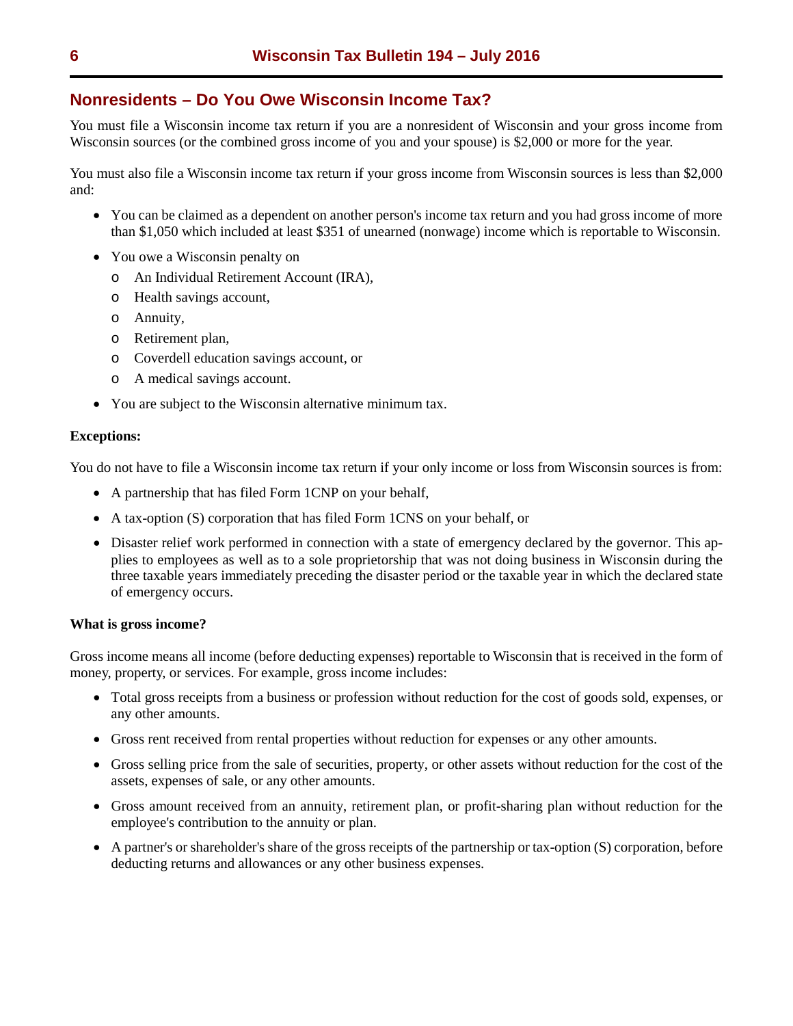# <span id="page-5-0"></span>**Nonresidents – Do You Owe Wisconsin Income Tax?**

You must file a Wisconsin income tax return if you are a nonresident of Wisconsin and your gross income from Wisconsin sources (or the combined gross income of you and your spouse) is \$2,000 or more for the year.

You must also file a Wisconsin income tax return if your gross income from Wisconsin sources is less than \$2,000 and:

- You can be claimed as a dependent on another person's income tax return and you had gross income of more than \$1,050 which included at least \$351 of unearned (nonwage) income which is reportable to Wisconsin.
- You owe a Wisconsin penalty on
	- o An Individual Retirement Account (IRA),
	- o Health savings account,
	- o Annuity,
	- o Retirement plan,
	- o Coverdell education savings account, or
	- o A medical savings account.
- You are subject to the Wisconsin alternative minimum tax.

#### **Exceptions:**

You do not have to file a Wisconsin income tax return if your only income or loss from Wisconsin sources is from:

- A partnership that has filed Form 1CNP on your behalf,
- A tax-option (S) corporation that has filed Form 1CNS on your behalf, or
- Disaster relief work performed in connection with a state of emergency declared by the governor. This applies to employees as well as to a sole proprietorship that was not doing business in Wisconsin during the three taxable years immediately preceding the disaster period or the taxable year in which the declared state of emergency occurs.

#### **What is gross income?**

Gross income means all income (before deducting expenses) reportable to Wisconsin that is received in the form of money, property, or services. For example, gross income includes:

- Total gross receipts from a business or profession without reduction for the cost of goods sold, expenses, or any other amounts.
- Gross rent received from rental properties without reduction for expenses or any other amounts.
- Gross selling price from the sale of securities, property, or other assets without reduction for the cost of the assets, expenses of sale, or any other amounts.
- Gross amount received from an annuity, retirement plan, or profit-sharing plan without reduction for the employee's contribution to the annuity or plan.
- A partner's or shareholder's share of the gross receipts of the partnership or tax-option (S) corporation, before deducting returns and allowances or any other business expenses.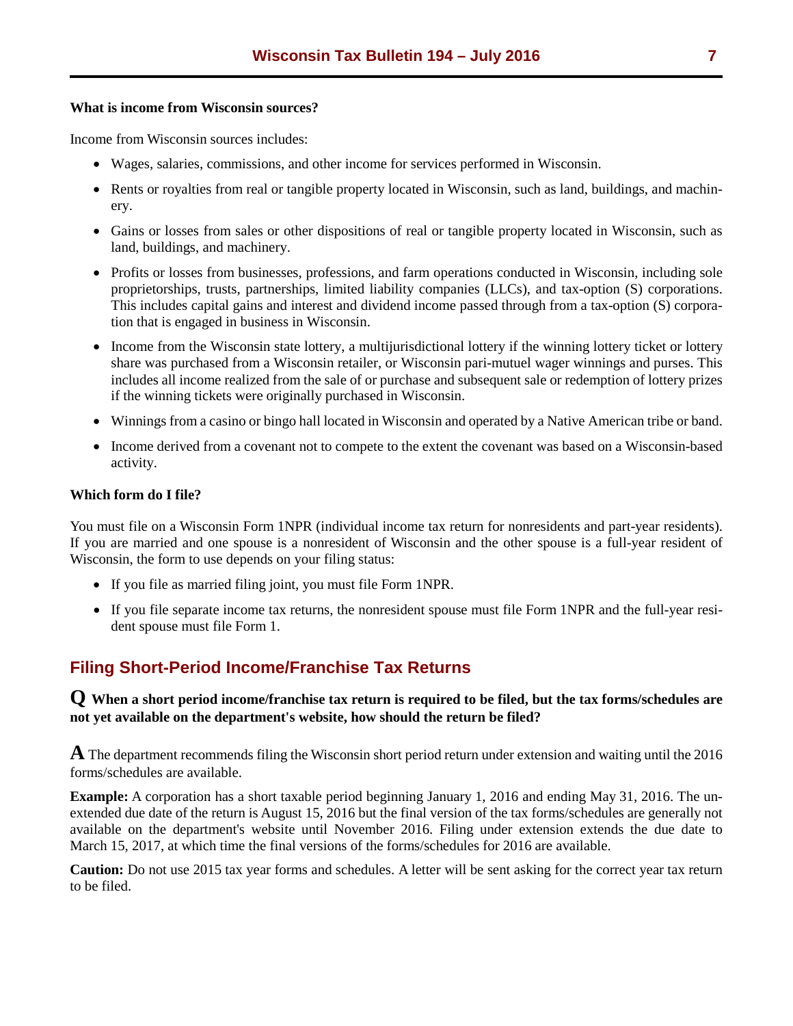#### <span id="page-6-0"></span>**What is income from Wisconsin sources?**

Income from Wisconsin sources includes:

- Wages, salaries, commissions, and other income for services performed in Wisconsin.
- Rents or royalties from real or tangible property located in Wisconsin, such as land, buildings, and machinery.
- Gains or losses from sales or other dispositions of real or tangible property located in Wisconsin, such as land, buildings, and machinery.
- Profits or losses from businesses, professions, and farm operations conducted in Wisconsin, including sole proprietorships, trusts, partnerships, limited liability companies (LLCs), and tax-option (S) corporations. This includes capital gains and interest and dividend income passed through from a tax-option (S) corporation that is engaged in business in Wisconsin.
- Income from the Wisconsin state lottery, a multijurisdictional lottery if the winning lottery ticket or lottery share was purchased from a Wisconsin retailer, or Wisconsin pari-mutuel wager winnings and purses. This includes all income realized from the sale of or purchase and subsequent sale or redemption of lottery prizes if the winning tickets were originally purchased in Wisconsin.
- Winnings from a casino or bingo hall located in Wisconsin and operated by a Native American tribe or band.
- Income derived from a covenant not to compete to the extent the covenant was based on a Wisconsin-based activity.

#### **Which form do I file?**

You must file on a Wisconsin Form 1NPR (individual income tax return for nonresidents and part-year residents). If you are married and one spouse is a nonresident of Wisconsin and the other spouse is a full-year resident of Wisconsin, the form to use depends on your filing status:

- If you file as married filing joint, you must file Form 1NPR.
- If you file separate income tax returns, the nonresident spouse must file Form 1NPR and the full-year resident spouse must file Form 1.

# **Filing Short-Period Income/Franchise Tax Returns**

## **Q When a short period income/franchise tax return is required to be filed, but the tax forms/schedules are not yet available on the department's website, how should the return be filed?**

**A** The department recommends filing the Wisconsin short period return under extension and waiting until the 2016 forms/schedules are available.

**Example:** A corporation has a short taxable period beginning January 1, 2016 and ending May 31, 2016. The unextended due date of the return is August 15, 2016 but the final version of the tax forms/schedules are generally not available on the department's website until November 2016. Filing under extension extends the due date to March 15, 2017, at which time the final versions of the forms/schedules for 2016 are available.

**Caution:** Do not use 2015 tax year forms and schedules. A letter will be sent asking for the correct year tax return to be filed.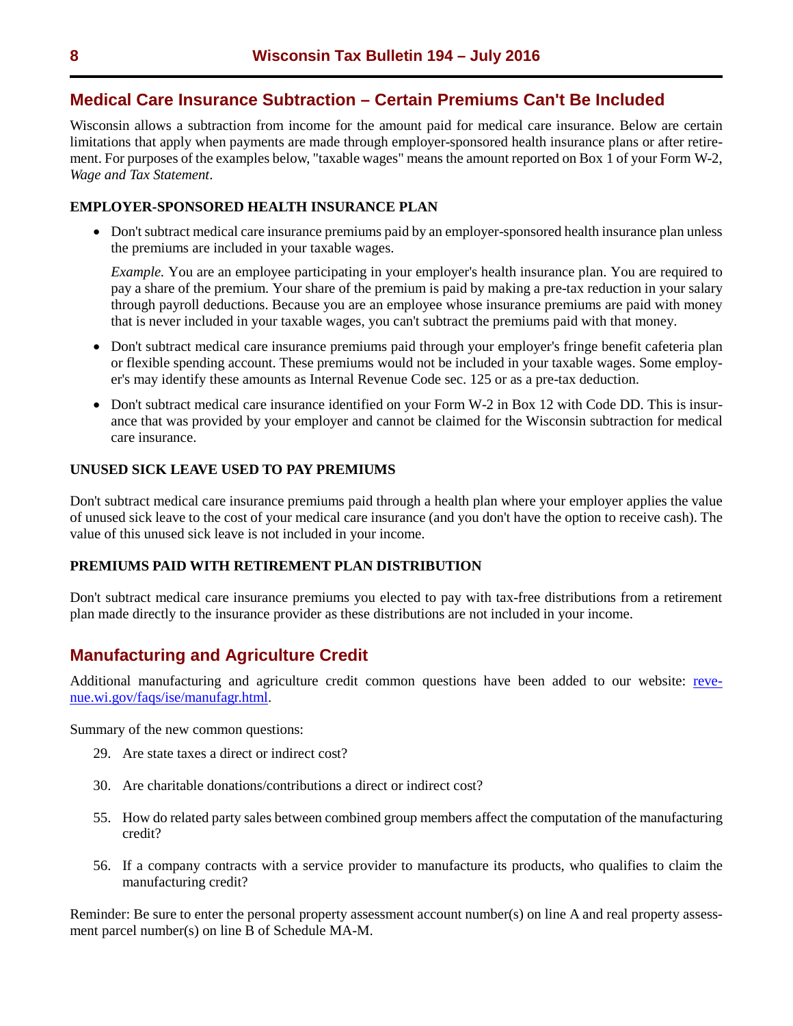## <span id="page-7-0"></span>**Medical Care Insurance Subtraction – Certain Premiums Can't Be Included**

Wisconsin allows a subtraction from income for the amount paid for medical care insurance. Below are certain limitations that apply when payments are made through employer-sponsored health insurance plans or after retirement. For purposes of the examples below, "taxable wages" means the amount reported on Box 1 of your Form W-2, *Wage and Tax Statement*.

## **EMPLOYER-SPONSORED HEALTH INSURANCE PLAN**

• Don't subtract medical care insurance premiums paid by an employer-sponsored health insurance plan unless the premiums are included in your taxable wages.

*Example.* You are an employee participating in your employer's health insurance plan. You are required to pay a share of the premium. Your share of the premium is paid by making a pre-tax reduction in your salary through payroll deductions. Because you are an employee whose insurance premiums are paid with money that is never included in your taxable wages, you can't subtract the premiums paid with that money.

- Don't subtract medical care insurance premiums paid through your employer's fringe benefit cafeteria plan or flexible spending account. These premiums would not be included in your taxable wages. Some employer's may identify these amounts as Internal Revenue Code sec. 125 or as a pre-tax deduction.
- Don't subtract medical care insurance identified on your Form W-2 in Box 12 with Code DD. This is insurance that was provided by your employer and cannot be claimed for the Wisconsin subtraction for medical care insurance.

## **UNUSED SICK LEAVE USED TO PAY PREMIUMS**

Don't subtract medical care insurance premiums paid through a health plan where your employer applies the value of unused sick leave to the cost of your medical care insurance (and you don't have the option to receive cash). The value of this unused sick leave is not included in your income.

#### **PREMIUMS PAID WITH RETIREMENT PLAN DISTRIBUTION**

Don't subtract medical care insurance premiums you elected to pay with tax-free distributions from a retirement plan made directly to the insurance provider as these distributions are not included in your income.

# **Manufacturing and Agriculture Credit**

Additional manufacturing and agriculture credit common questions have been added to our website: [reve](https://www.revenue.wi.gov/faqs/ise/manufagr.html)[nue.wi.gov/faqs/ise/manufagr.html.](https://www.revenue.wi.gov/Pages/FAQS/ise-MandA-general.aspx)

Summary of the new common questions:

- 29. Are state taxes a direct or indirect cost?
- 30. Are charitable donations/contributions a direct or indirect cost?
- 55. How do related party sales between combined group members affect the computation of the manufacturing credit?
- 56. If a company contracts with a service provider to manufacture its products, who qualifies to claim the manufacturing credit?

Reminder: Be sure to enter the personal property assessment account number(s) on line A and real property assessment parcel number(s) on line B of Schedule MA-M.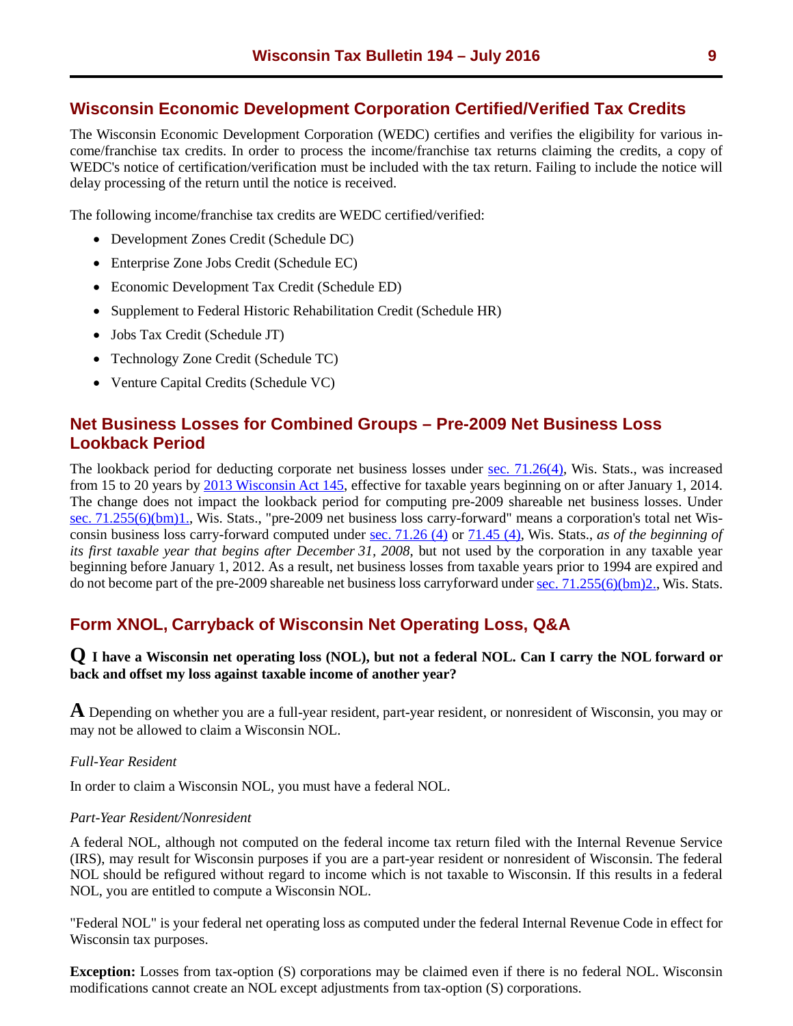## <span id="page-8-0"></span>**Wisconsin Economic Development Corporation Certified/Verified Tax Credits**

The Wisconsin Economic Development Corporation (WEDC) certifies and verifies the eligibility for various income/franchise tax credits. In order to process the income/franchise tax returns claiming the credits, a copy of WEDC's notice of certification/verification must be included with the tax return. Failing to include the notice will delay processing of the return until the notice is received.

The following income/franchise tax credits are WEDC certified/verified:

- Development Zones Credit (Schedule DC)
- Enterprise Zone Jobs Credit (Schedule EC)
- Economic Development Tax Credit (Schedule ED)
- Supplement to Federal Historic Rehabilitation Credit (Schedule HR)
- Jobs Tax Credit (Schedule JT)
- Technology Zone Credit (Schedule TC)
- Venture Capital Credits (Schedule VC)

## **Net Business Losses for Combined Groups – Pre-2009 Net Business Loss Lookback Period**

The lookback period for deducting corporate net business losses under [sec. 71.26\(4\),](http://docs.legis.wisconsin.gov/statutes/statutes/71/IV/26/4) Wis. Stats., was increased from 15 to 20 years by [2013 Wisconsin Act 145,](https://docs.legis.wisconsin.gov/2013/related/acts/145) effective for taxable years beginning on or after January 1, 2014. The change does not impact the lookback period for computing pre-2009 shareable net business losses. Under [sec. 71.255\(6\)\(bm\)1.,](https://docs.legis.wisconsin.gov/statutes/statutes/71/IV/255/6/bm/1) Wis. Stats., "pre-2009 net business loss carry-forward" means a corporation's total net Wisconsin business loss carry-forward computed under [sec. 71.26 \(4\)](https://docs.legis.wisconsin.gov/statutes/statutes/71/IV/26/4) or [71.45 \(4\),](https://docs.legis.wisconsin.gov/statutes/statutes/71/VII/45/4) Wis. Stats., *as of the beginning of its first taxable year that begins after December 31, 2008*, but not used by the corporation in any taxable year beginning before January 1, 2012. As a result, net business losses from taxable years prior to 1994 are expired and do not become part of the pre-2009 shareable net business loss carryforward unde[r sec. 71.255\(6\)\(bm\)2.,](https://docs.legis.wisconsin.gov/statutes/statutes/71/IV/255/6/bm/2) Wis. Stats.

# **Form XNOL, Carryback of Wisconsin Net Operating Loss, Q&A**

## **Q I have a Wisconsin net operating loss (NOL), but not a federal NOL. Can I carry the NOL forward or back and offset my loss against taxable income of another year?**

**A** Depending on whether you are a full-year resident, part-year resident, or nonresident of Wisconsin, you may or may not be allowed to claim a Wisconsin NOL.

#### *Full-Year Resident*

In order to claim a Wisconsin NOL, you must have a federal NOL.

#### *Part-Year Resident/Nonresident*

A federal NOL, although not computed on the federal income tax return filed with the Internal Revenue Service (IRS), may result for Wisconsin purposes if you are a part-year resident or nonresident of Wisconsin. The federal NOL should be refigured without regard to income which is not taxable to Wisconsin. If this results in a federal NOL, you are entitled to compute a Wisconsin NOL.

"Federal NOL" is your federal net operating loss as computed under the federal Internal Revenue Code in effect for Wisconsin tax purposes.

**Exception:** Losses from tax-option (S) corporations may be claimed even if there is no federal NOL. Wisconsin modifications cannot create an NOL except adjustments from tax-option (S) corporations.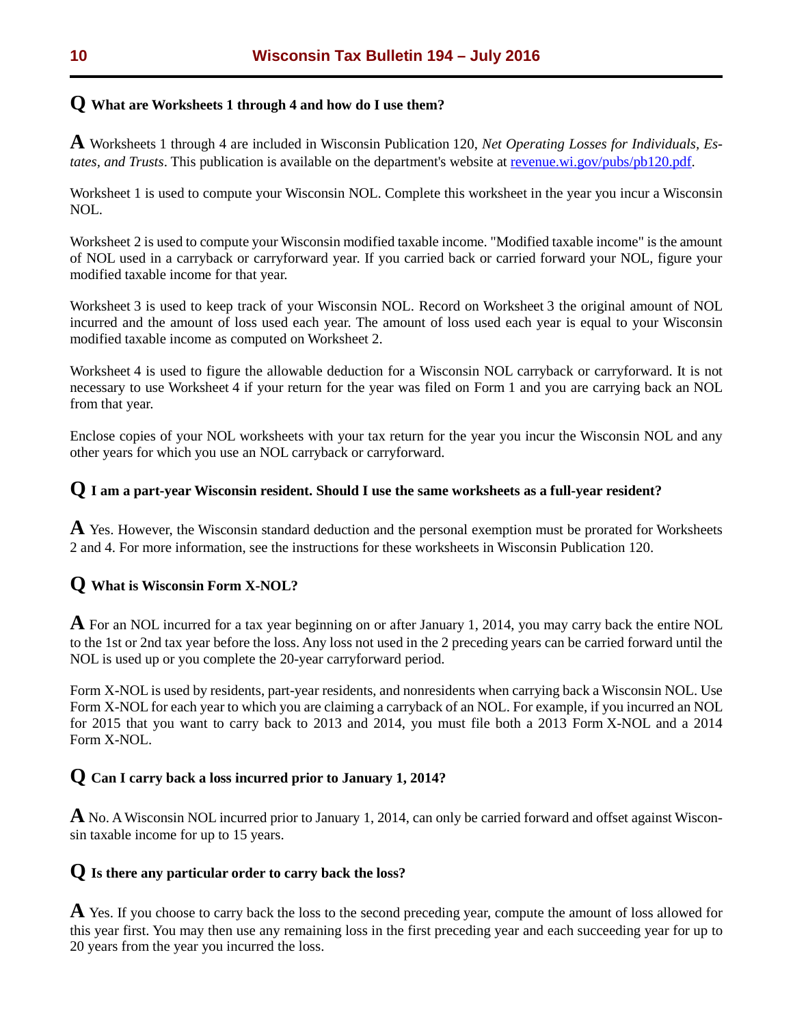# **Q What are Worksheets 1 through 4 and how do I use them?**

**A** Worksheets 1 through 4 are included in Wisconsin Publication 120, *Net Operating Losses for Individuals, Estates, and Trusts*. This publication is available on the department's website at [revenue.wi.gov/pubs/pb120.pdf.](https://www.revenue.wi.gov/pubs/pb120.pdf)

Worksheet 1 is used to compute your Wisconsin NOL. Complete this worksheet in the year you incur a Wisconsin NOL.

Worksheet 2 is used to compute your Wisconsin modified taxable income. "Modified taxable income" is the amount of NOL used in a carryback or carryforward year. If you carried back or carried forward your NOL, figure your modified taxable income for that year.

Worksheet 3 is used to keep track of your Wisconsin NOL. Record on Worksheet 3 the original amount of NOL incurred and the amount of loss used each year. The amount of loss used each year is equal to your Wisconsin modified taxable income as computed on Worksheet 2.

Worksheet 4 is used to figure the allowable deduction for a Wisconsin NOL carryback or carryforward. It is not necessary to use Worksheet 4 if your return for the year was filed on Form 1 and you are carrying back an NOL from that year.

Enclose copies of your NOL worksheets with your tax return for the year you incur the Wisconsin NOL and any other years for which you use an NOL carryback or carryforward.

# **Q I am a part-year Wisconsin resident. Should I use the same worksheets as a full-year resident?**

**A** Yes. However, the Wisconsin standard deduction and the personal exemption must be prorated for Worksheets 2 and 4. For more information, see the instructions for these worksheets in Wisconsin Publication 120.

## **Q What is Wisconsin Form X-NOL?**

**A** For an NOL incurred for a tax year beginning on or after January 1, 2014, you may carry back the entire NOL to the 1st or 2nd tax year before the loss. Any loss not used in the 2 preceding years can be carried forward until the NOL is used up or you complete the 20-year carryforward period.

Form X-NOL is used by residents, part-year residents, and nonresidents when carrying back a Wisconsin NOL. Use Form X-NOL for each year to which you are claiming a carryback of an NOL. For example, if you incurred an NOL for 2015 that you want to carry back to 2013 and 2014, you must file both a 2013 Form X-NOL and a 2014 Form X-NOL.

# **Q Can I carry back a loss incurred prior to January 1, 2014?**

**A** No. A Wisconsin NOL incurred prior to January 1, 2014, can only be carried forward and offset against Wisconsin taxable income for up to 15 years.

# **Q Is there any particular order to carry back the loss?**

**A** Yes. If you choose to carry back the loss to the second preceding year, compute the amount of loss allowed for this year first. You may then use any remaining loss in the first preceding year and each succeeding year for up to 20 years from the year you incurred the loss.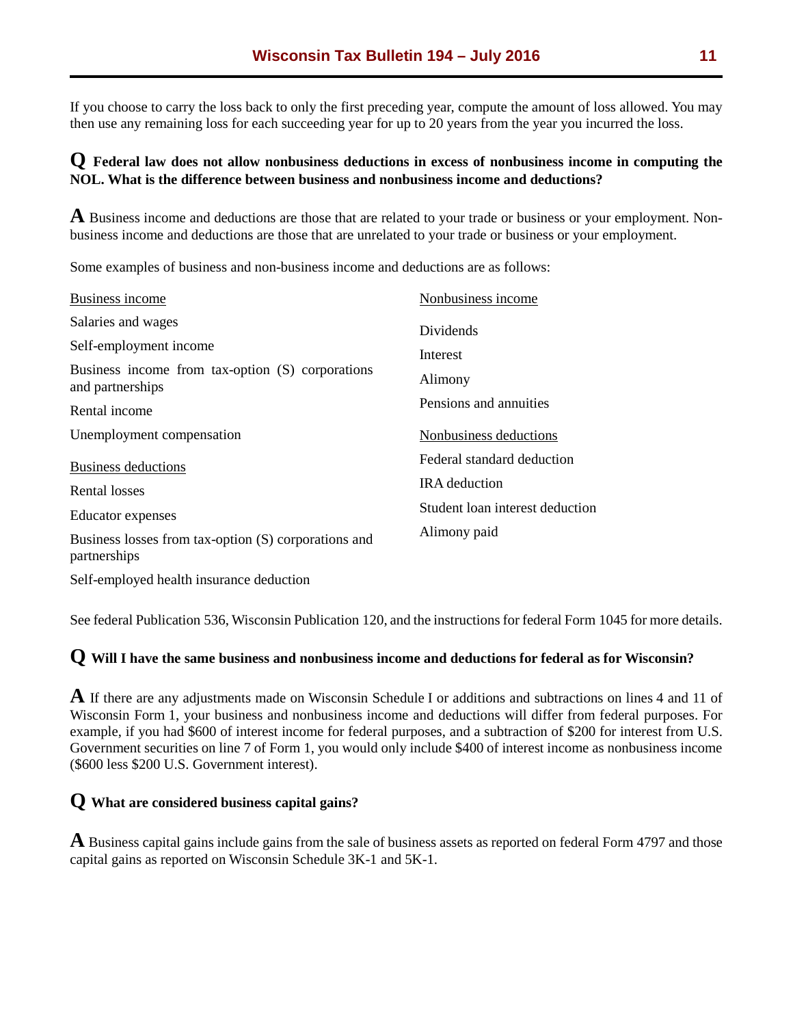If you choose to carry the loss back to only the first preceding year, compute the amount of loss allowed. You may then use any remaining loss for each succeeding year for up to 20 years from the year you incurred the loss.

## **Q Federal law does not allow nonbusiness deductions in excess of nonbusiness income in computing the NOL. What is the difference between business and nonbusiness income and deductions?**

**A** Business income and deductions are those that are related to your trade or business or your employment. Nonbusiness income and deductions are those that are unrelated to your trade or business or your employment.

Some examples of business and non-business income and deductions are as follows:

| Business income                                                      | Nonbusiness income                                 |
|----------------------------------------------------------------------|----------------------------------------------------|
| Salaries and wages<br>Self-employment income                         | Dividends                                          |
| Business income from tax-option (S) corporations<br>and partnerships | Interest<br>Alimony                                |
| Rental income                                                        | Pensions and annuities                             |
| Unemployment compensation                                            | Nonbusiness deductions                             |
| <b>Business deductions</b><br>Rental losses                          | Federal standard deduction<br><b>IRA</b> deduction |
| <b>Educator</b> expenses                                             | Student loan interest deduction                    |
| Business losses from tax-option (S) corporations and<br>partnerships | Alimony paid                                       |
|                                                                      |                                                    |

Self-employed health insurance deduction

See federal Publication 536, Wisconsin Publication 120, and the instructions for federal Form 1045 for more details.

## **Q Will I have the same business and nonbusiness income and deductions for federal as for Wisconsin?**

**A** If there are any adjustments made on Wisconsin Schedule I or additions and subtractions on lines 4 and 11 of Wisconsin Form 1, your business and nonbusiness income and deductions will differ from federal purposes. For example, if you had \$600 of interest income for federal purposes, and a subtraction of \$200 for interest from U.S. Government securities on line 7 of Form 1, you would only include \$400 of interest income as nonbusiness income (\$600 less \$200 U.S. Government interest).

## **Q What are considered business capital gains?**

**A** Business capital gains include gains from the sale of business assets as reported on federal Form 4797 and those capital gains as reported on Wisconsin Schedule 3K-1 and 5K-1.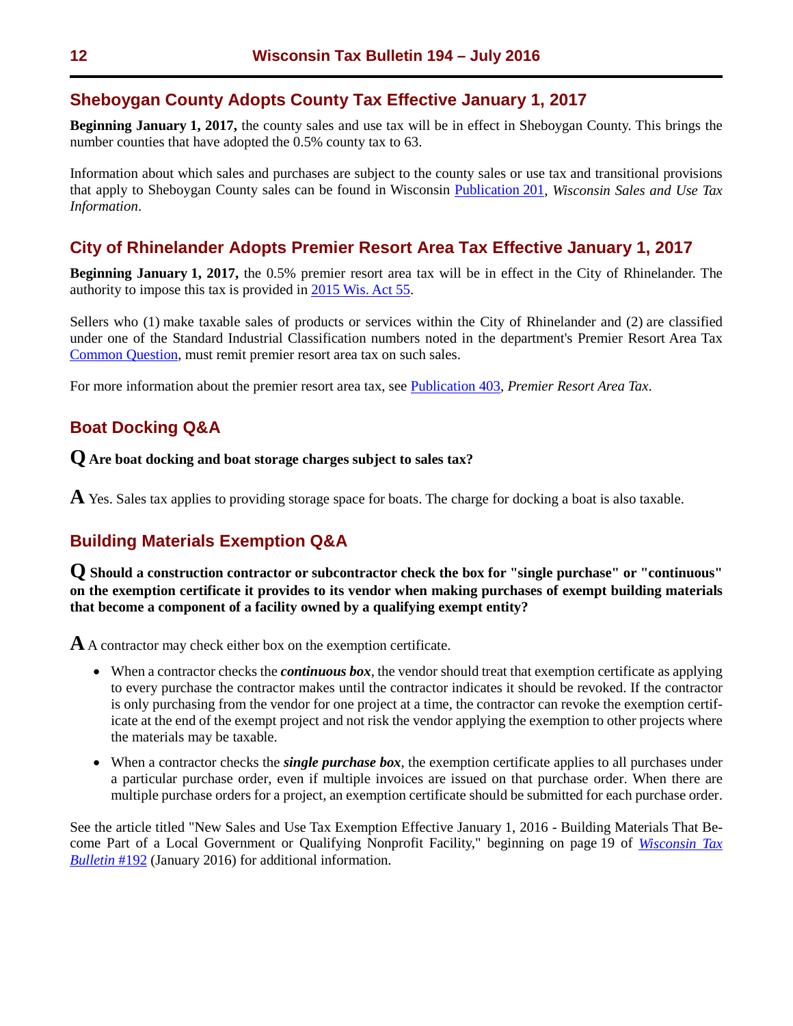## <span id="page-11-0"></span>**Sheboygan County Adopts County Tax Effective January 1, 2017**

**Beginning January 1, 2017,** the county sales and use tax will be in effect in Sheboygan County. This brings the number counties that have adopted the 0.5% county tax to 63.

Information about which sales and purchases are subject to the county sales or use tax and transitional provisions that apply to Sheboygan County sales can be found in Wisconsin [Publication 201,](https://www.revenue.wi.gov/pubs/pb201.pdf) *Wisconsin Sales and Use Tax Information*.

# **City of Rhinelander Adopts Premier Resort Area Tax Effective January 1, 2017**

**Beginning January 1, 2017,** the 0.5% premier resort area tax will be in effect in the City of Rhinelander. The authority to impose this tax is provided in [2015 Wis. Act 55.](https://docs.legis.wisconsin.gov/2015/related/acts/55)

Sellers who (1) make taxable sales of products or services within the City of Rhinelander and (2) are classified under one of the Standard Industrial Classification numbers noted in the department's Premier Resort Area Tax [Common Question,](https://www.revenue.wi.gov/Pages/FAQS/home.aspx) must remit premier resort area tax on such sales.

For more information about the premier resort area tax, see [Publication 403,](https://www.revenue.wi.gov/pubs/pb403.pdf) *Premier Resort Area Tax*.

# **Boat Docking Q&A**

**Q Are boat docking and boat storage charges subject to sales tax?**

**A** Yes. Sales tax applies to providing storage space for boats. The charge for docking a boat is also taxable.

# **Building Materials Exemption Q&A**

**Q Should a construction contractor or subcontractor check the box for "single purchase" or "continuous" on the exemption certificate it provides to its vendor when making purchases of exempt building materials that become a component of a facility owned by a qualifying exempt entity?** 

**A**A contractor may check either box on the exemption certificate.

- When a contractor checks the *continuous box*, the vendor should treat that exemption certificate as applying to every purchase the contractor makes until the contractor indicates it should be revoked. If the contractor is only purchasing from the vendor for one project at a time, the contractor can revoke the exemption certificate at the end of the exempt project and not risk the vendor applying the exemption to other projects where the materials may be taxable.
- When a contractor checks the *single purchase box*, the exemption certificate applies to all purchases under a particular purchase order, even if multiple invoices are issued on that purchase order. When there are multiple purchase orders for a project, an exemption certificate should be submitted for each purchase order.

See the article titled "New Sales and Use Tax Exemption Effective January 1, 2016 - Building Materials That Become Part of a Local Government or Qualifying Nonprofit Facility," beginning on page 19 of *[Wisconsin Tax](https://www.revenue.wi.gov/ise/wtb/192.pdf)  [Bulletin](https://www.revenue.wi.gov/ise/wtb/192.pdf)* #192 (January 2016) for additional information.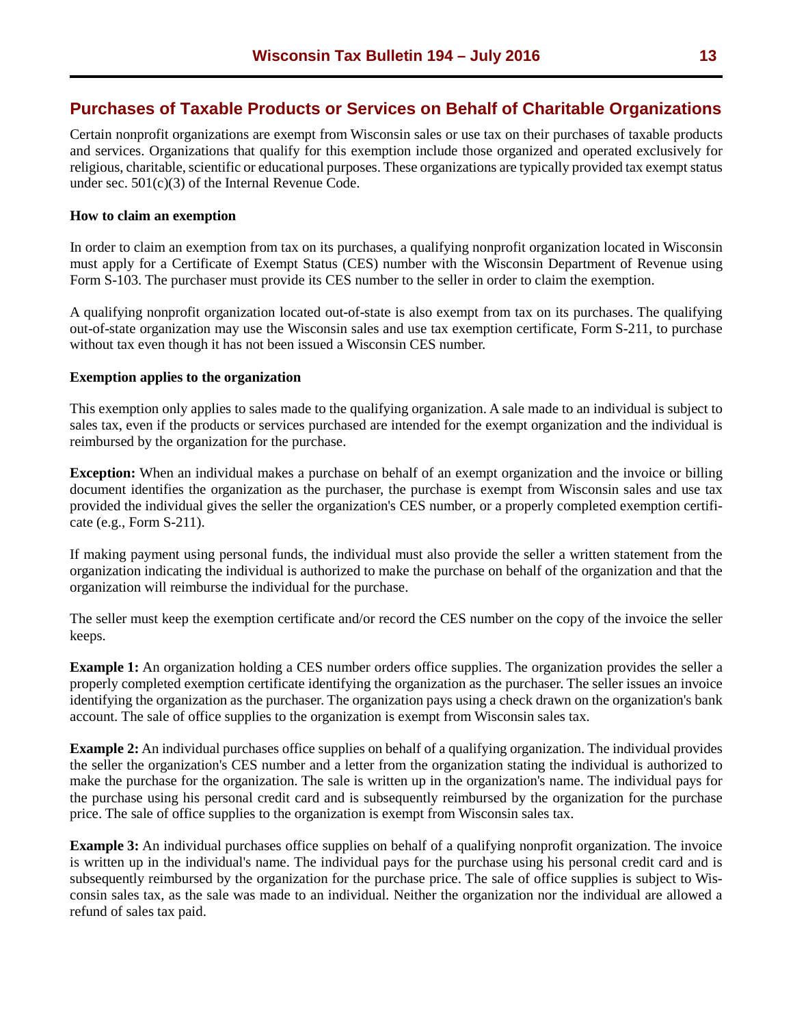## <span id="page-12-0"></span>**Purchases of Taxable Products or Services on Behalf of Charitable Organizations**

Certain nonprofit organizations are exempt from Wisconsin sales or use tax on their purchases of taxable products and services. Organizations that qualify for this exemption include those organized and operated exclusively for religious, charitable, scientific or educational purposes. These organizations are typically provided tax exempt status under sec. 501(c)(3) of the Internal Revenue Code.

#### **How to claim an exemption**

In order to claim an exemption from tax on its purchases, a qualifying nonprofit organization located in Wisconsin must apply for a Certificate of Exempt Status (CES) number with the Wisconsin Department of Revenue using Form S-103. The purchaser must provide its CES number to the seller in order to claim the exemption.

A qualifying nonprofit organization located out-of-state is also exempt from tax on its purchases. The qualifying out-of-state organization may use the Wisconsin sales and use tax exemption certificate, Form S-211, to purchase without tax even though it has not been issued a Wisconsin CES number.

#### **Exemption applies to the organization**

This exemption only applies to sales made to the qualifying organization. A sale made to an individual is subject to sales tax, even if the products or services purchased are intended for the exempt organization and the individual is reimbursed by the organization for the purchase.

**Exception:** When an individual makes a purchase on behalf of an exempt organization and the invoice or billing document identifies the organization as the purchaser, the purchase is exempt from Wisconsin sales and use tax provided the individual gives the seller the organization's CES number, or a properly completed exemption certificate (e.g., Form S-211).

If making payment using personal funds, the individual must also provide the seller a written statement from the organization indicating the individual is authorized to make the purchase on behalf of the organization and that the organization will reimburse the individual for the purchase.

The seller must keep the exemption certificate and/or record the CES number on the copy of the invoice the seller keeps.

**Example 1:** An organization holding a CES number orders office supplies. The organization provides the seller a properly completed exemption certificate identifying the organization as the purchaser. The seller issues an invoice identifying the organization as the purchaser. The organization pays using a check drawn on the organization's bank account. The sale of office supplies to the organization is exempt from Wisconsin sales tax.

**Example 2:** An individual purchases office supplies on behalf of a qualifying organization. The individual provides the seller the organization's CES number and a letter from the organization stating the individual is authorized to make the purchase for the organization. The sale is written up in the organization's name. The individual pays for the purchase using his personal credit card and is subsequently reimbursed by the organization for the purchase price. The sale of office supplies to the organization is exempt from Wisconsin sales tax.

**Example 3:** An individual purchases office supplies on behalf of a qualifying nonprofit organization. The invoice is written up in the individual's name. The individual pays for the purchase using his personal credit card and is subsequently reimbursed by the organization for the purchase price. The sale of office supplies is subject to Wisconsin sales tax, as the sale was made to an individual. Neither the organization nor the individual are allowed a refund of sales tax paid.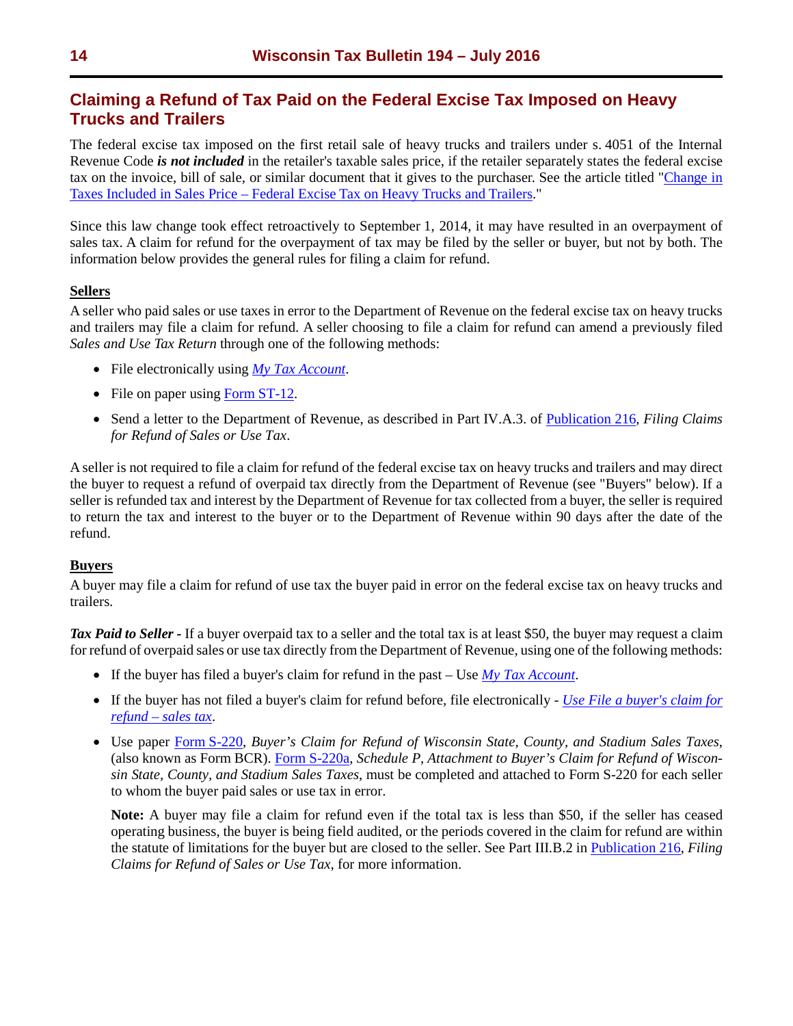# <span id="page-13-0"></span>**Claiming a Refund of Tax Paid on the Federal Excise Tax Imposed on Heavy Trucks and Trailers**

The federal excise tax imposed on the first retail sale of heavy trucks and trailers under s. 4051 of the Internal Revenue Code *is not included* in the retailer's taxable sales price, if the retailer separately states the federal excise tax on the invoice, bill of sale, or similar document that it gives to the purchaser. See the article titled ["Change in](https://www.revenue.wi.gov/Pages/TaxPro/2016/news-2016-160419.aspx)  [Taxes Included in Sales Price – Federal Excise Tax on Heavy Trucks and Trailers.](https://www.revenue.wi.gov/Pages/TaxPro/2016/news-2016-160419.aspx)"

Since this law change took effect retroactively to September 1, 2014, it may have resulted in an overpayment of sales tax. A claim for refund for the overpayment of tax may be filed by the seller or buyer, but not by both. The information below provides the general rules for filing a claim for refund.

## **Sellers**

A seller who paid sales or use taxes in error to the Department of Revenue on the federal excise tax on heavy trucks and trailers may file a claim for refund. A seller choosing to file a claim for refund can amend a previously filed *Sales and Use Tax Return* through one of the following methods:

- File electronically using *[My Tax Account](https://tap.revenue.wi.gov/mta/)*.
- File on paper using Form [ST-12.](https://www.revenue.wi.gov/forms/sales/index.html)
- Send a letter to the Department of Revenue, as described in Part IV.A.3. of [Publication](https://www.revenue.wi.gov/pubs/pb216.pdf) 216, *Filing Claims for Refund of Sales or Use Tax*.

A seller is not required to file a claim for refund of the federal excise tax on heavy trucks and trailers and may direct the buyer to request a refund of overpaid tax directly from the Department of Revenue (see "Buyers" below). If a seller is refunded tax and interest by the Department of Revenue for tax collected from a buyer, the seller is required to return the tax and interest to the buyer or to the Department of Revenue within 90 days after the date of the refund.

#### **Buyers**

A buyer may file a claim for refund of use tax the buyer paid in error on the federal excise tax on heavy trucks and trailers.

*Tax Paid to Seller -* If a buyer overpaid tax to a seller and the total tax is at least \$50, the buyer may request a claim for refund of overpaid sales or use tax directly from the Department of Revenue, using one of the following methods:

- If the buyer has filed a buyer's claim for refund in the past Use *[My Tax Account](https://tap.revenue.wi.gov/mta/_/)*.
- If the buyer has not filed a buyer's claim for refund before, file electronically *[Use File a buyer's claim for](https://tap.revenue.wi.gov/services/_/#1)  [refund – sales tax](https://tap.revenue.wi.gov/services/_/#1)*.
- Use paper [Form S-220,](https://www.revenue.wi.gov/DORForms/s-220.pdf) *Buyer's Claim for Refund of Wisconsin State, County, and Stadium Sales Taxes*, (also known as Form BCR). [Form S-220a,](https://www.revenue.wi.gov/DORForms/s-220a.pdf) *Schedule P, Attachment to Buyer's Claim for Refund of Wisconsin State, County, and Stadium Sales Taxes*, must be completed and attached to Form S-220 for each seller to whom the buyer paid sales or use tax in error.

**Note:** A buyer may file a claim for refund even if the total tax is less than \$50, if the seller has ceased operating business, the buyer is being field audited, or the periods covered in the claim for refund are within the statute of limitations for the buyer but are closed to the seller. See Part III.B.2 in [Publication 216,](https://www.revenue.wi.gov/pubs/pb216.pdf) *Filing Claims for Refund of Sales or Use Tax*, for more information.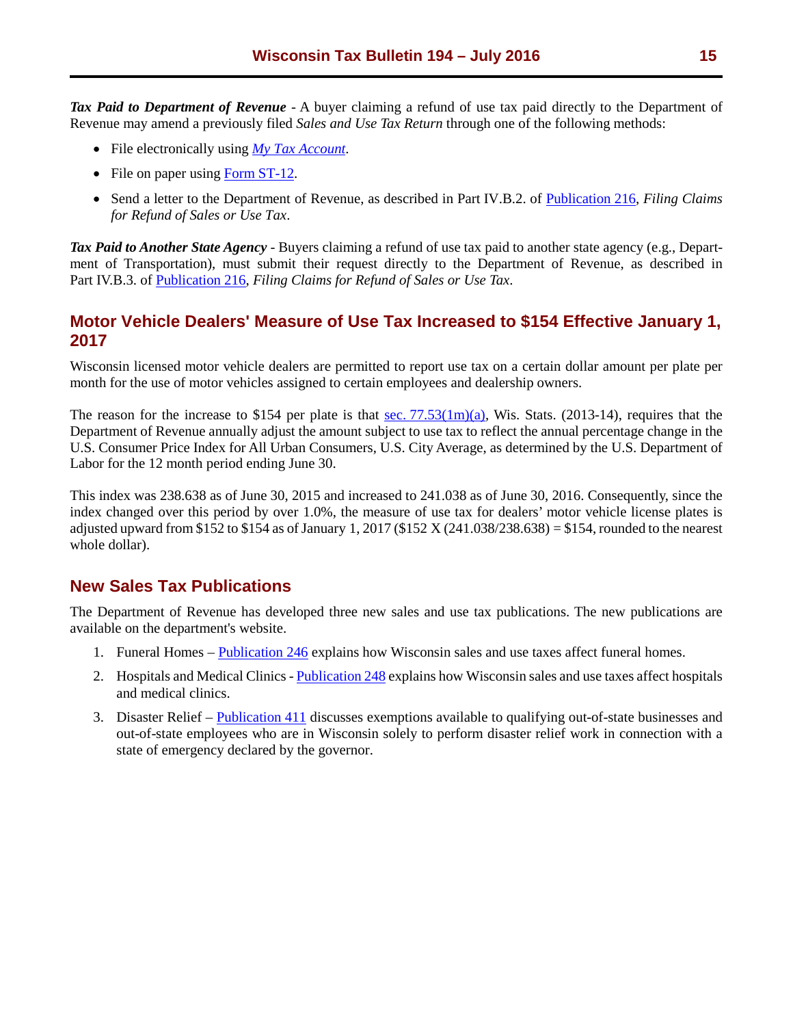<span id="page-14-0"></span>*Tax Paid to Department of Revenue* - A buyer claiming a refund of use tax paid directly to the Department of Revenue may amend a previously filed *Sales and Use Tax Return* through one of the following methods:

- File electronically using *[My Tax Account](https://tap.revenue.wi.gov/mta/)*.
- File on paper using Form [ST-12.](https://www.revenue.wi.gov/forms/sales/index.html)
- Send a letter to the Department of Revenue, as described in Part IV.B.2. of [Publication](https://www.revenue.wi.gov/pubs/pb216.pdf) 216, *Filing Claims for Refund of Sales or Use Tax*.

*Tax Paid to Another State Agency* - Buyers claiming a refund of use tax paid to another state agency (e.g., Department of Transportation), must submit their request directly to the Department of Revenue, as described in Part IV.B.3. of [Publication 216,](https://www.revenue.wi.gov/pubs/pb216.pdf) *Filing Claims for Refund of Sales or Use Tax*.

# **Motor Vehicle Dealers' Measure of Use Tax Increased to \$154 Effective January 1, 2017**

Wisconsin licensed motor vehicle dealers are permitted to report use tax on a certain dollar amount per plate per month for the use of motor vehicles assigned to certain employees and dealership owners.

The reason for the increase to \$154 per plate is that sec.  $77.53(1m)(a)$ , Wis. Stats. (2013-14), requires that the Department of Revenue annually adjust the amount subject to use tax to reflect the annual percentage change in the U.S. Consumer Price Index for All Urban Consumers, U.S. City Average, as determined by the U.S. Department of Labor for the 12 month period ending June 30.

This index was 238.638 as of June 30, 2015 and increased to 241.038 as of June 30, 2016. Consequently, since the index changed over this period by over 1.0%, the measure of use tax for dealers' motor vehicle license plates is adjusted upward from \$152 to \$154 as of January 1, 2017 (\$152 X (241.038/238.638) = \$154, rounded to the nearest whole dollar).

# **New Sales Tax Publications**

The Department of Revenue has developed three new sales and use tax publications. The new publications are available on the department's website.

- 1. Funeral Homes – [Publication 246](https://www.revenue.wi.gov/pubs/pb246.pdf) explains how Wisconsin sales and use taxes affect funeral homes.
- 2. Hospitals and Medical Clinics  [Publication 248](https://www.revenue.wi.gov/pubs/pb248.pdf) explains how Wisconsin sales and use taxes affect hospitals and medical clinics.
- 3. Disaster Relief – [Publication 411](http://www.revenue.wi.gov/pubs/pb411.pdf) discusses exemptions available to qualifying out-of-state businesses and out-of-state employees who are in Wisconsin solely to perform disaster relief work in connection with a state of emergency declared by the governor.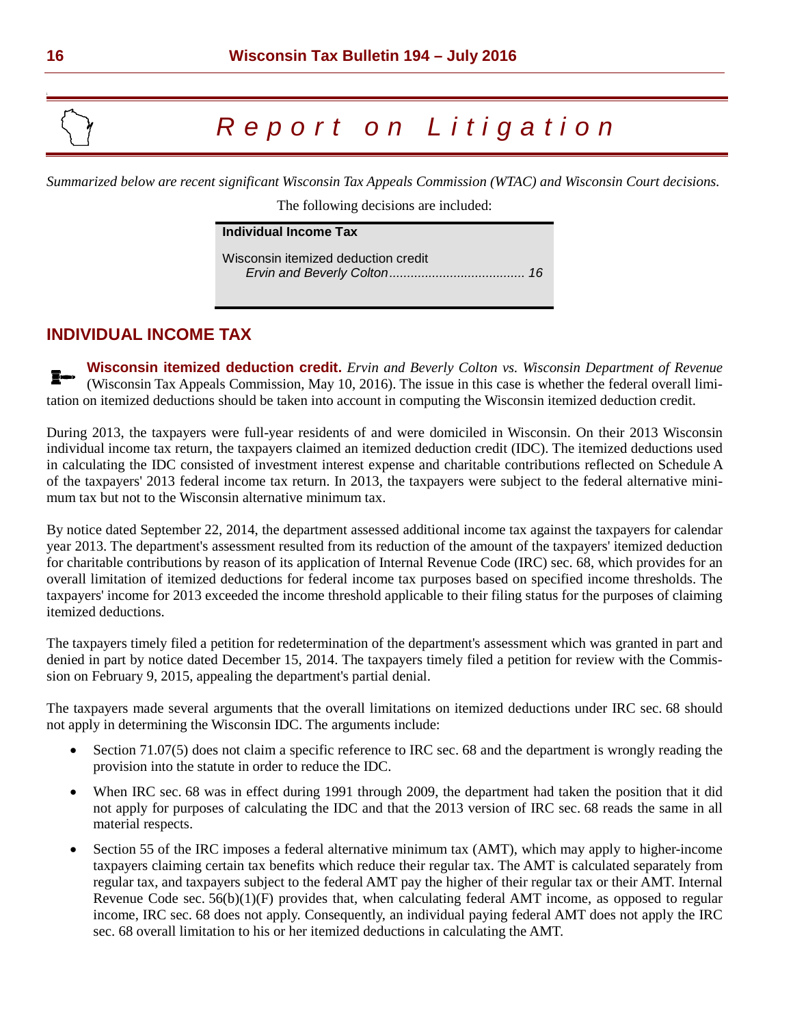# *Report on Litig a tion*

*Summarized below are recent significant Wisconsin Tax Appeals Commission (WTAC) and Wisconsin Court decisions.* 

The following decisions are included:

| Individual Income Tax               |  |
|-------------------------------------|--|
| Wisconsin itemized deduction credit |  |

# **INDIVIDUAL INCOME TAX**

**Wisconsin itemized deduction credit.** *Ervin and Beverly Colton vs. Wisconsin Department of Revenue* I— (Wisconsin Tax Appeals Commission, May 10, 2016). The issue in this case is whether the federal overall limitation on itemized deductions should be taken into account in computing the Wisconsin itemized deduction credit.

During 2013, the taxpayers were full-year residents of and were domiciled in Wisconsin. On their 2013 Wisconsin individual income tax return, the taxpayers claimed an itemized deduction credit (IDC). The itemized deductions used in calculating the IDC consisted of investment interest expense and charitable contributions reflected on Schedule A of the taxpayers' 2013 federal income tax return. In 2013, the taxpayers were subject to the federal alternative minimum tax but not to the Wisconsin alternative minimum tax.

By notice dated September 22, 2014, the department assessed additional income tax against the taxpayers for calendar year 2013. The department's assessment resulted from its reduction of the amount of the taxpayers' itemized deduction for charitable contributions by reason of its application of Internal Revenue Code (IRC) sec. 68, which provides for an overall limitation of itemized deductions for federal income tax purposes based on specified income thresholds. The taxpayers' income for 2013 exceeded the income threshold applicable to their filing status for the purposes of claiming itemized deductions.

The taxpayers timely filed a petition for redetermination of the department's assessment which was granted in part and denied in part by notice dated December 15, 2014. The taxpayers timely filed a petition for review with the Commission on February 9, 2015, appealing the department's partial denial.

The taxpayers made several arguments that the overall limitations on itemized deductions under IRC sec. 68 should not apply in determining the Wisconsin IDC. The arguments include:

- Section 71.07(5) does not claim a specific reference to IRC sec. 68 and the department is wrongly reading the provision into the statute in order to reduce the IDC.
- When IRC sec. 68 was in effect during 1991 through 2009, the department had taken the position that it did not apply for purposes of calculating the IDC and that the 2013 version of IRC sec. 68 reads the same in all material respects.
- Section 55 of the IRC imposes a federal alternative minimum tax (AMT), which may apply to higher-income taxpayers claiming certain tax benefits which reduce their regular tax. The AMT is calculated separately from regular tax, and taxpayers subject to the federal AMT pay the higher of their regular tax or their AMT. Internal Revenue Code sec. 56(b)(1)(F) provides that, when calculating federal AMT income, as opposed to regular income, IRC sec. 68 does not apply. Consequently, an individual paying federal AMT does not apply the IRC sec. 68 overall limitation to his or her itemized deductions in calculating the AMT.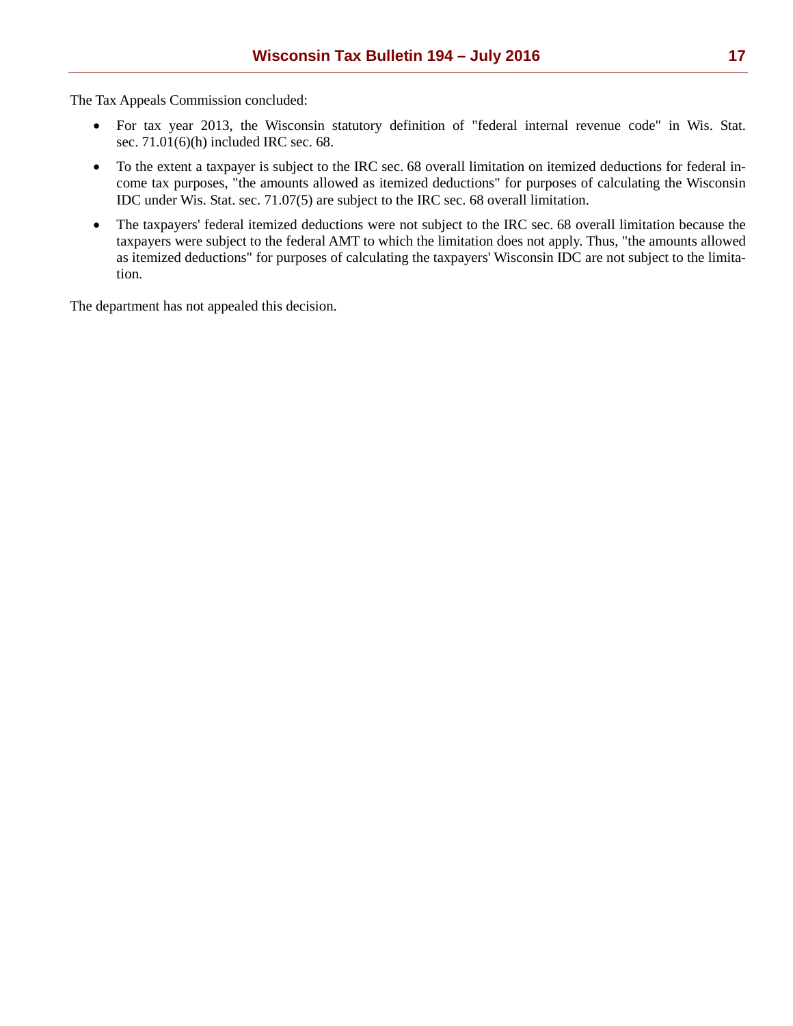The Tax Appeals Commission concluded:

- For tax year 2013, the Wisconsin statutory definition of "federal internal revenue code" in Wis. Stat. sec. 71.01(6)(h) included IRC sec. 68.
- To the extent a taxpayer is subject to the IRC sec. 68 overall limitation on itemized deductions for federal income tax purposes, "the amounts allowed as itemized deductions" for purposes of calculating the Wisconsin IDC under Wis. Stat. sec. 71.07(5) are subject to the IRC sec. 68 overall limitation.
- The taxpayers' federal itemized deductions were not subject to the IRC sec. 68 overall limitation because the taxpayers were subject to the federal AMT to which the limitation does not apply. Thus, "the amounts allowed as itemized deductions" for purposes of calculating the taxpayers' Wisconsin IDC are not subject to the limitation.

The department has not appealed this decision.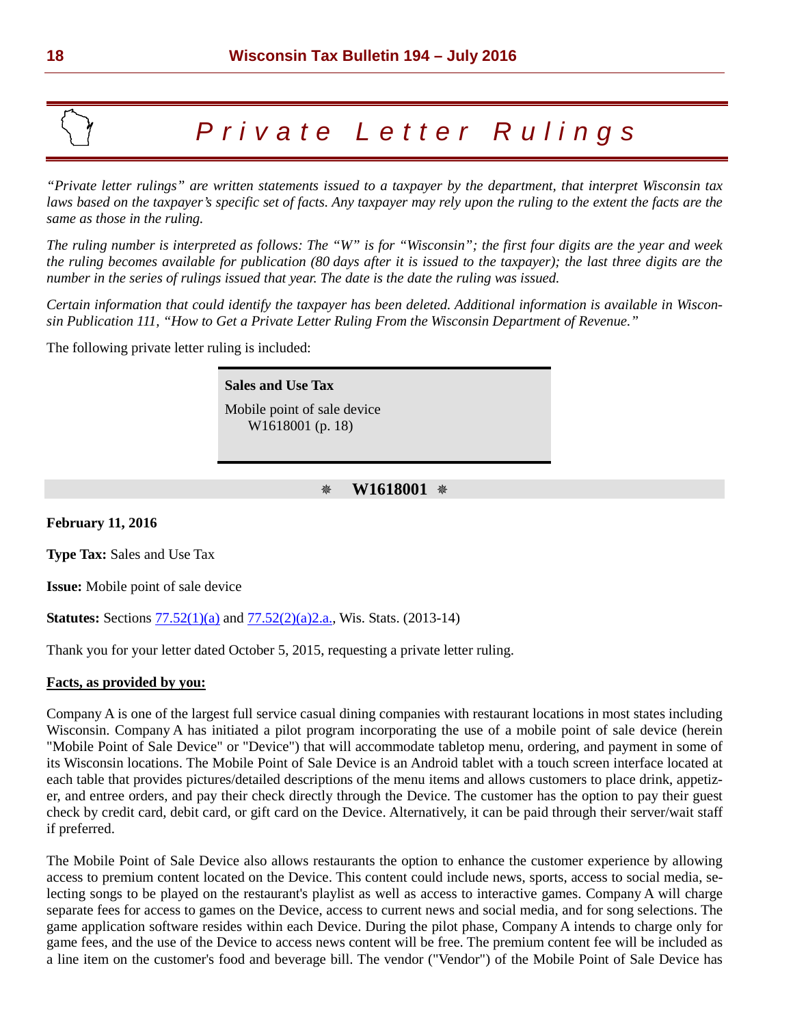# *Private Letter Rulings*

*"Private letter rulings" are written statements issued to a taxpayer by the department, that interpret Wisconsin tax laws based on the taxpayer's specific set of facts. Any taxpayer may rely upon the ruling to the extent the facts are the same as those in the ruling.* 

*The ruling number is interpreted as follows: The "W" is for "Wisconsin"; the first four digits are the year and week the ruling becomes available for publication (80 days after it is issued to the taxpayer); the last three digits are the number in the series of rulings issued that year. The date is the date the ruling was issued.* 

*Certain information that could identify the taxpayer has been deleted. Additional information is available in Wisconsin Publication 111, "How to Get a Private Letter Ruling From the Wisconsin Department of Revenue."*

The following private letter ruling is included:

**Sales and Use Tax** Mobile point of sale device W1618001 (p. 18)

## **W1618001**

**February 11, 2016**

**Type Tax:** Sales and Use Tax

**Issue:** Mobile point of sale device

**Statutes:** Sections  $77.52(1)(a)$  and  $77.52(2)(a)2.a$ ., Wis. Stats. (2013-14)

Thank you for your letter dated October 5, 2015, requesting a private letter ruling.

#### **Facts, as provided by you:**

Company A is one of the largest full service casual dining companies with restaurant locations in most states including Wisconsin. Company A has initiated a pilot program incorporating the use of a mobile point of sale device (herein "Mobile Point of Sale Device" or "Device") that will accommodate tabletop menu, ordering, and payment in some of its Wisconsin locations. The Mobile Point of Sale Device is an Android tablet with a touch screen interface located at each table that provides pictures/detailed descriptions of the menu items and allows customers to place drink, appetizer, and entree orders, and pay their check directly through the Device. The customer has the option to pay their guest check by credit card, debit card, or gift card on the Device. Alternatively, it can be paid through their server/wait staff if preferred.

The Mobile Point of Sale Device also allows restaurants the option to enhance the customer experience by allowing access to premium content located on the Device. This content could include news, sports, access to social media, selecting songs to be played on the restaurant's playlist as well as access to interactive games. Company A will charge separate fees for access to games on the Device, access to current news and social media, and for song selections. The game application software resides within each Device. During the pilot phase, Company A intends to charge only for game fees, and the use of the Device to access news content will be free. The premium content fee will be included as a line item on the customer's food and beverage bill. The vendor ("Vendor") of the Mobile Point of Sale Device has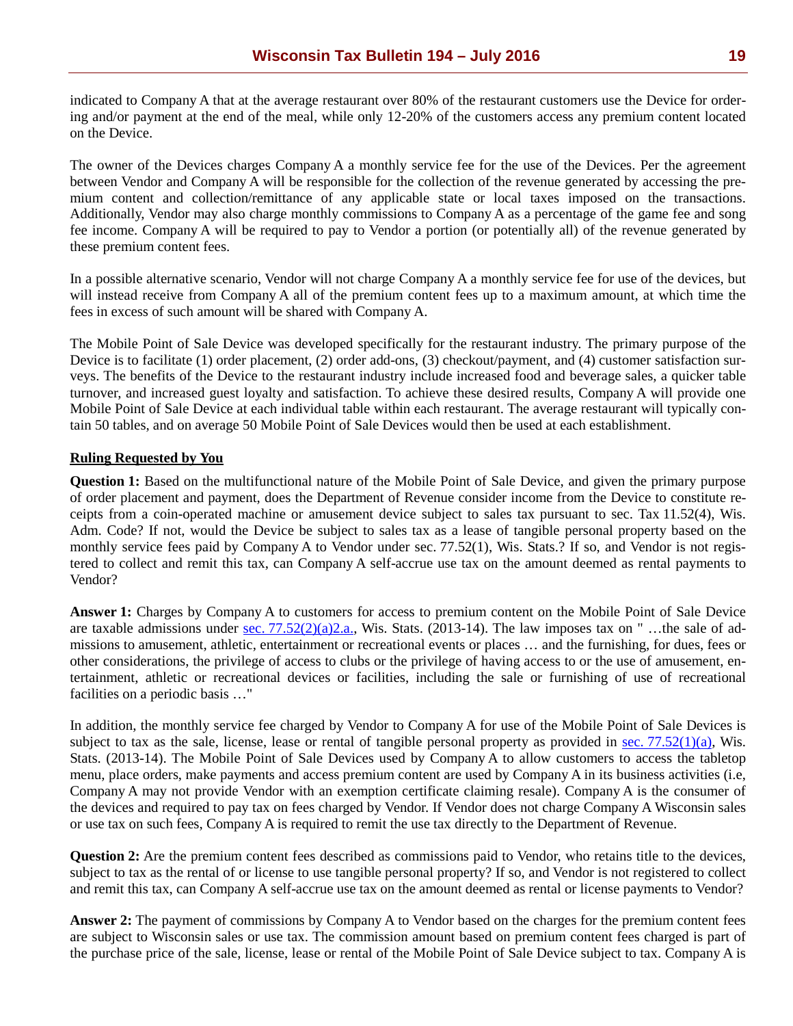indicated to Company A that at the average restaurant over 80% of the restaurant customers use the Device for ordering and/or payment at the end of the meal, while only 12-20% of the customers access any premium content located on the Device.

The owner of the Devices charges Company A a monthly service fee for the use of the Devices. Per the agreement between Vendor and Company A will be responsible for the collection of the revenue generated by accessing the premium content and collection/remittance of any applicable state or local taxes imposed on the transactions. Additionally, Vendor may also charge monthly commissions to Company A as a percentage of the game fee and song fee income. Company A will be required to pay to Vendor a portion (or potentially all) of the revenue generated by these premium content fees.

In a possible alternative scenario, Vendor will not charge Company A a monthly service fee for use of the devices, but will instead receive from Company A all of the premium content fees up to a maximum amount, at which time the fees in excess of such amount will be shared with Company A.

The Mobile Point of Sale Device was developed specifically for the restaurant industry. The primary purpose of the Device is to facilitate (1) order placement, (2) order add-ons, (3) checkout/payment, and (4) customer satisfaction surveys. The benefits of the Device to the restaurant industry include increased food and beverage sales, a quicker table turnover, and increased guest loyalty and satisfaction. To achieve these desired results, Company A will provide one Mobile Point of Sale Device at each individual table within each restaurant. The average restaurant will typically contain 50 tables, and on average 50 Mobile Point of Sale Devices would then be used at each establishment.

#### **Ruling Requested by You**

**Question 1:** Based on the multifunctional nature of the Mobile Point of Sale Device, and given the primary purpose of order placement and payment, does the Department of Revenue consider income from the Device to constitute receipts from a coin-operated machine or amusement device subject to sales tax pursuant to sec. Tax 11.52(4), Wis. Adm. Code? If not, would the Device be subject to sales tax as a lease of tangible personal property based on the monthly service fees paid by Company A to Vendor under sec. 77.52(1), Wis. Stats.? If so, and Vendor is not registered to collect and remit this tax, can Company A self-accrue use tax on the amount deemed as rental payments to Vendor?

**Answer 1:** Charges by Company A to customers for access to premium content on the Mobile Point of Sale Device are taxable admissions under sec.  $77.52(2)(a)2.a$ ., Wis. Stats. (2013-14). The law imposes tax on " ...the sale of admissions to amusement, athletic, entertainment or recreational events or places … and the furnishing, for dues, fees or other considerations, the privilege of access to clubs or the privilege of having access to or the use of amusement, entertainment, athletic or recreational devices or facilities, including the sale or furnishing of use of recreational facilities on a periodic basis …"

In addition, the monthly service fee charged by Vendor to Company A for use of the Mobile Point of Sale Devices is subject to tax as the sale, license, lease or rental of tangible personal property as provided in sec.  $77.52(1)(a)$ , Wis. Stats. (2013-14). The Mobile Point of Sale Devices used by Company A to allow customers to access the tabletop menu, place orders, make payments and access premium content are used by Company A in its business activities (i.e, Company A may not provide Vendor with an exemption certificate claiming resale). Company A is the consumer of the devices and required to pay tax on fees charged by Vendor. If Vendor does not charge Company A Wisconsin sales or use tax on such fees, Company A is required to remit the use tax directly to the Department of Revenue.

**Question 2:** Are the premium content fees described as commissions paid to Vendor, who retains title to the devices, subject to tax as the rental of or license to use tangible personal property? If so, and Vendor is not registered to collect and remit this tax, can Company A self-accrue use tax on the amount deemed as rental or license payments to Vendor?

**Answer 2:** The payment of commissions by Company A to Vendor based on the charges for the premium content fees are subject to Wisconsin sales or use tax. The commission amount based on premium content fees charged is part of the purchase price of the sale, license, lease or rental of the Mobile Point of Sale Device subject to tax. Company A is